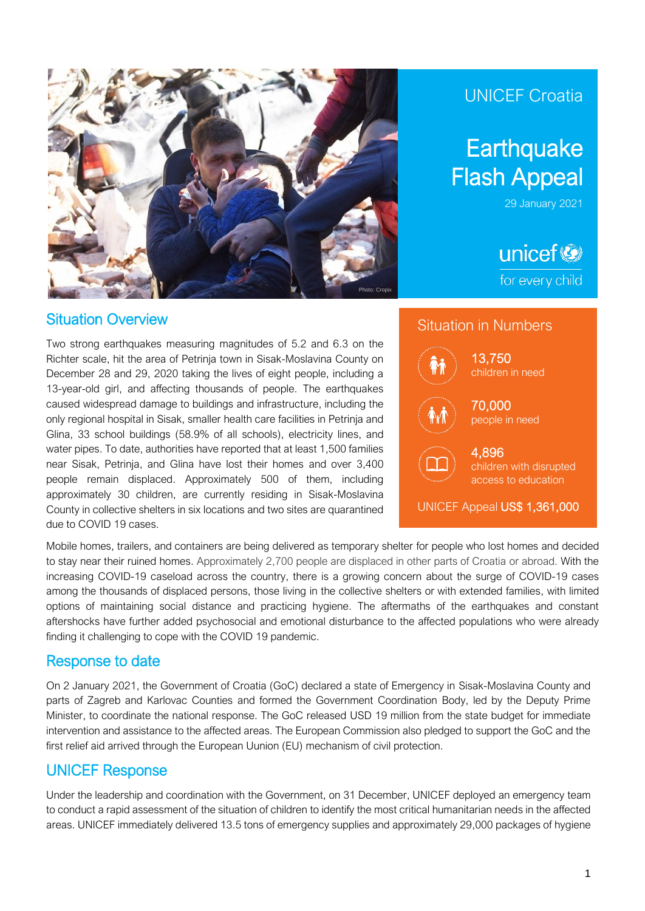

### Situation Overview

Two strong earthquakes measuring magnitudes of 5.2 and 6.3 on the Richter scale, hit the area of Petrinja town in Sisak-Moslavina County on December 28 and 29, 2020 taking the lives of eight people, including a 13-year-old girl, and affecting thousands of people. The earthquakes caused widespread damage to buildings and infrastructure, including the only regional hospital in Sisak, smaller health care facilities in Petrinja and Glina, 33 school buildings (58.9% of all schools), electricity lines, and water pipes. To date, authorities have reported that at least 1,500 families near Sisak, Petrinja, and Glina have lost their homes and over 3,400 people remain displaced. Approximately 500 of them, including approximately 30 children, are currently residing in Sisak-Moslavina County in collective shelters in six locations and two sites are quarantined due to COVID 19 cases.

## UNICEF Croatia

# **Earthquake** Flash Appeal

29 January 2021

unicef<sup>®</sup> for every child



Mobile homes, trailers, and containers are being delivered as temporary shelter for people who lost homes and decided to stay near their ruined homes. Approximately 2,700 people are displaced in other parts of Croatia or abroad. With the increasing COVID-19 caseload across the country, there is a growing concern about the surge of COVID-19 cases among the thousands of displaced persons, those living in the collective shelters or with extended families, with limited options of maintaining social distance and practicing hygiene. The aftermaths of the earthquakes and constant aftershocks have further added psychosocial and emotional disturbance to the affected populations who were already finding it challenging to cope with the COVID 19 pandemic.

### Response to date

On 2 January 2021, the Government of Croatia (GoC) declared a state of Emergency in Sisak-Moslavina County and parts of Zagreb and Karlovac Counties and formed the Government Coordination Body, led by the Deputy Prime Minister, to coordinate the national response. The GoC released USD 19 million from the state budget for immediate intervention and assistance to the affected areas. The European Commission also pledged to support the GoC and the first relief aid arrived through the European Uunion (EU) mechanism of civil protection.

### UNICEF Response

Under the leadership and coordination with the Government, on 31 December, UNICEF deployed an emergency team to conduct a rapid assessment of the situation of children to identify the most critical humanitarian needs in the affected areas. UNICEF immediately delivered 13.5 tons of emergency supplies and approximately 29,000 packages of hygiene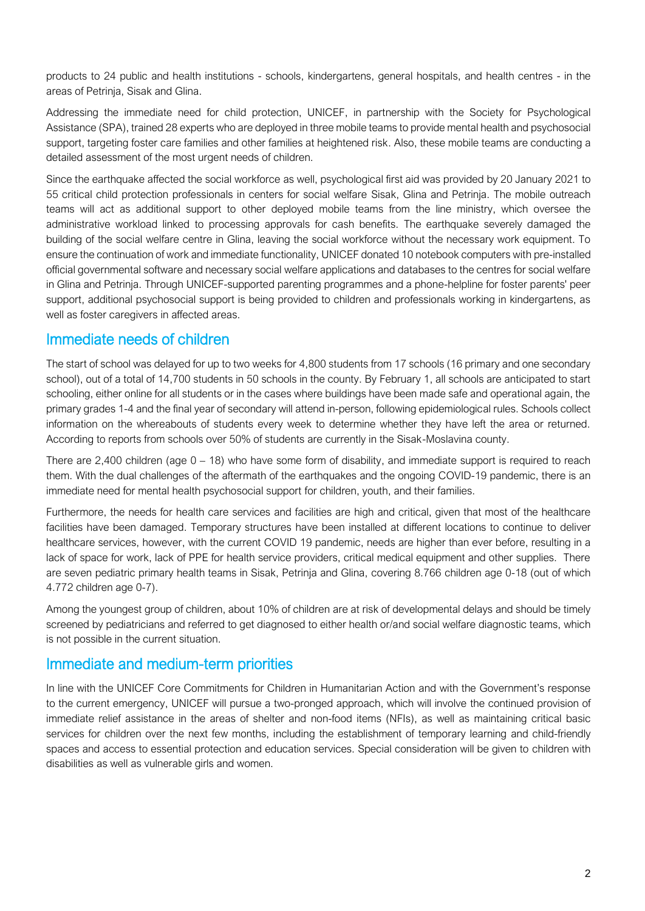products to 24 public and health institutions - schools, kindergartens, general hospitals, and health centres - in the areas of Petrinja, Sisak and Glina.

Addressing the immediate need for child protection, UNICEF, in partnership with the Society for Psychological Assistance (SPA), trained 28 experts who are deployed in three mobile teams to provide mental health and psychosocial support, targeting foster care families and other families at heightened risk. Also, these mobile teams are conducting a detailed assessment of the most urgent needs of children.

Since the earthquake affected the social workforce as well, psychological first aid was provided by 20 January 2021 to 55 critical child protection professionals in centers for social welfare Sisak, Glina and Petrinja. The mobile outreach teams will act as additional support to other deployed mobile teams from the line ministry, which oversee the administrative workload linked to processing approvals for cash benefits. The earthquake severely damaged the building of the social welfare centre in Glina, leaving the social workforce without the necessary work equipment. To ensure the continuation of work and immediate functionality, UNICEF donated 10 notebook computers with pre-installed official governmental software and necessary social welfare applications and databases to the centres for social welfare in Glina and Petrinja. Through UNICEF-supported parenting programmes and a phone-helpline for foster parents' peer support, additional psychosocial support is being provided to children and professionals working in kindergartens, as well as foster caregivers in affected areas.

### Immediate needs of children

The start of school was delayed for up to two weeks for 4,800 students from 17 schools (16 primary and one secondary school), out of a total of 14,700 students in 50 schools in the county. By February 1, all schools are anticipated to start schooling, either online for all students or in the cases where buildings have been made safe and operational again, the primary grades 1-4 and the final year of secondary will attend in-person, following epidemiological rules. Schools collect information on the whereabouts of students every week to determine whether they have left the area or returned. According to reports from schools over 50% of students are currently in the Sisak-Moslavina county.

There are 2,400 children (age 0 – 18) who have some form of disability, and immediate support is required to reach them. With the dual challenges of the aftermath of the earthquakes and the ongoing COVID-19 pandemic, there is an immediate need for mental health psychosocial support for children, youth, and their families.

Furthermore, the needs for health care services and facilities are high and critical, given that most of the healthcare facilities have been damaged. Temporary structures have been installed at different locations to continue to deliver healthcare services, however, with the current COVID 19 pandemic, needs are higher than ever before, resulting in a lack of space for work, lack of PPE for health service providers, critical medical equipment and other supplies. There are seven pediatric primary health teams in Sisak, Petrinja and Glina, covering 8.766 children age 0-18 (out of which 4.772 children age 0-7).

Among the youngest group of children, about 10% of children are at risk of developmental delays and should be timely screened by pediatricians and referred to get diagnosed to either health or/and social welfare diagnostic teams, which is not possible in the current situation.

### Immediate and medium-term priorities

In line with the UNICEF Core Commitments for Children in Humanitarian Action and with the Government's response to the current emergency, UNICEF will pursue a two-pronged approach, which will involve the continued provision of immediate relief assistance in the areas of shelter and non-food items (NFIs), as well as maintaining critical basic services for children over the next few months, including the establishment of temporary learning and child-friendly spaces and access to essential protection and education services. Special consideration will be given to children with disabilities as well as vulnerable girls and women.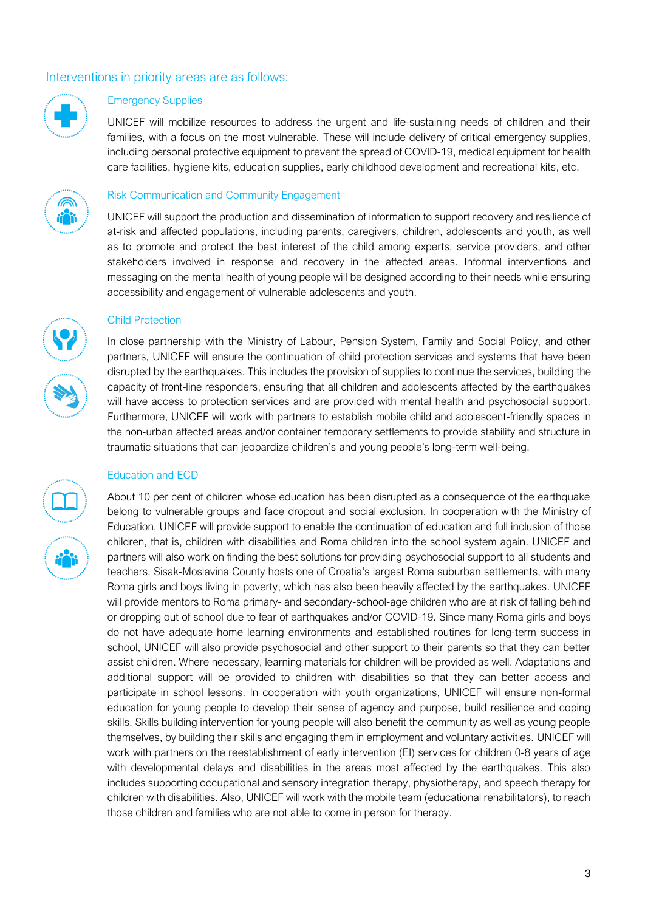### Interventions in priority areas are as follows:



#### Emergency Supplies

UNICEF will mobilize resources to address the urgent and life-sustaining needs of children and their families, with a focus on the most vulnerable. These will include delivery of critical emergency supplies, including personal protective equipment to prevent the spread of COVID-19, medical equipment for health care facilities, hygiene kits, education supplies, early childhood development and recreational kits, etc.



#### Risk Communication and Community Engagement

UNICEF will support the production and dissemination of information to support recovery and resilience of at-risk and affected populations, including parents, caregivers, children, adolescents and youth, as well as to promote and protect the best interest of the child among experts, service providers, and other stakeholders involved in response and recovery in the affected areas. Informal interventions and messaging on the mental health of young people will be designed according to their needs while ensuring accessibility and engagement of vulnerable adolescents and youth.



#### Child Protection

In close partnership with the Ministry of Labour, Pension System, Family and Social Policy, and other partners, UNICEF will ensure the continuation of child protection services and systems that have been disrupted by the earthquakes. This includes the provision of supplies to continue the services, building the capacity of front-line responders, ensuring that all children and adolescents affected by the earthquakes will have access to protection services and are provided with mental health and psychosocial support. Furthermore, UNICEF will work with partners to establish mobile child and adolescent-friendly spaces in the non-urban affected areas and/or container temporary settlements to provide stability and structure in traumatic situations that can jeopardize children's and young people's long-term well-being.

#### Education and ECD

About 10 per cent of children whose education has been disrupted as a consequence of the earthquake belong to vulnerable groups and face dropout and social exclusion. In cooperation with the Ministry of Education, UNICEF will provide support to enable the continuation of education and full inclusion of those children, that is, children with disabilities and Roma children into the school system again. UNICEF and partners will also work on finding the best solutions for providing psychosocial support to all students and teachers. Sisak-Moslavina County hosts one of Croatia's largest Roma suburban settlements, with many Roma girls and boys living in poverty, which has also been heavily affected by the earthquakes. UNICEF will provide mentors to Roma primary- and secondary-school-age children who are at risk of falling behind or dropping out of school due to fear of earthquakes and/or COVID-19. Since many Roma girls and boys do not have adequate home learning environments and established routines for long-term success in school, UNICEF will also provide psychosocial and other support to their parents so that they can better assist children. Where necessary, learning materials for children will be provided as well. Adaptations and additional support will be provided to children with disabilities so that they can better access and participate in school lessons. In cooperation with youth organizations, UNICEF will ensure non-formal education for young people to develop their sense of agency and purpose, build resilience and coping skills. Skills building intervention for young people will also benefit the community as well as young people themselves, by building their skills and engaging them in employment and voluntary activities. UNICEF will work with partners on the reestablishment of early intervention (EI) services for children 0-8 years of age with developmental delays and disabilities in the areas most affected by the earthquakes. This also includes supporting occupational and sensory integration therapy, physiotherapy, and speech therapy for children with disabilities. Also, UNICEF will work with the mobile team (educational rehabilitators), to reach those children and families who are not able to come in person for therapy.